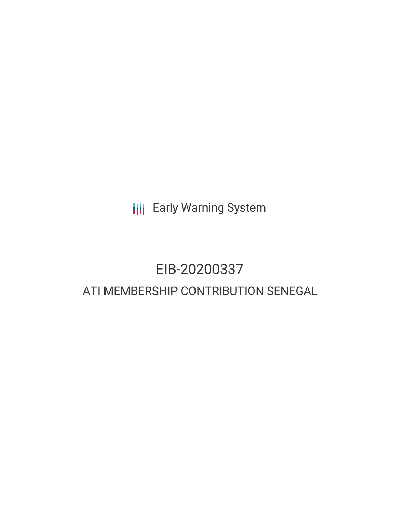**III** Early Warning System

## EIB-20200337 ATI MEMBERSHIP CONTRIBUTION SENEGAL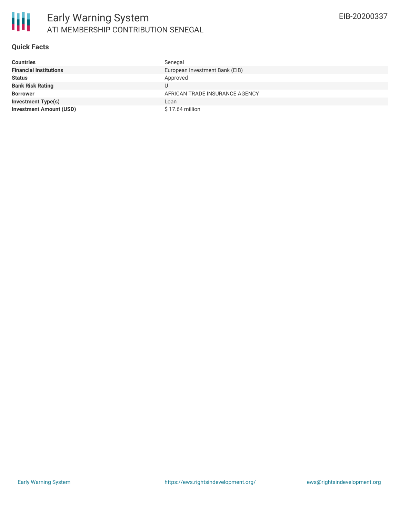

#### **Quick Facts**

| <b>Countries</b>               | Senegal                        |
|--------------------------------|--------------------------------|
| <b>Financial Institutions</b>  | European Investment Bank (EIB) |
| <b>Status</b>                  | Approved                       |
| <b>Bank Risk Rating</b>        |                                |
| <b>Borrower</b>                | AFRICAN TRADE INSURANCE AGENCY |
| <b>Investment Type(s)</b>      | Loan                           |
| <b>Investment Amount (USD)</b> | $$17.64$ million               |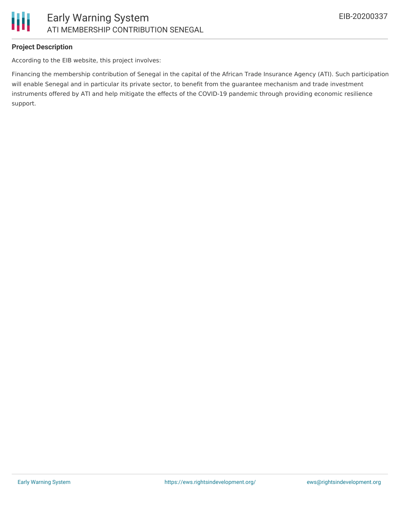

## **Project Description**

According to the EIB website, this project involves:

Financing the membership contribution of Senegal in the capital of the African Trade Insurance Agency (ATI). Such participation will enable Senegal and in particular its private sector, to benefit from the guarantee mechanism and trade investment instruments offered by ATI and help mitigate the effects of the COVID-19 pandemic through providing economic resilience support.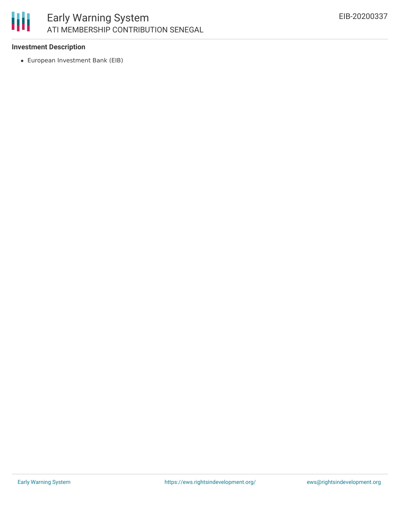# 朋

## Early Warning System ATI MEMBERSHIP CONTRIBUTION SENEGAL

## **Investment Description**

European Investment Bank (EIB)